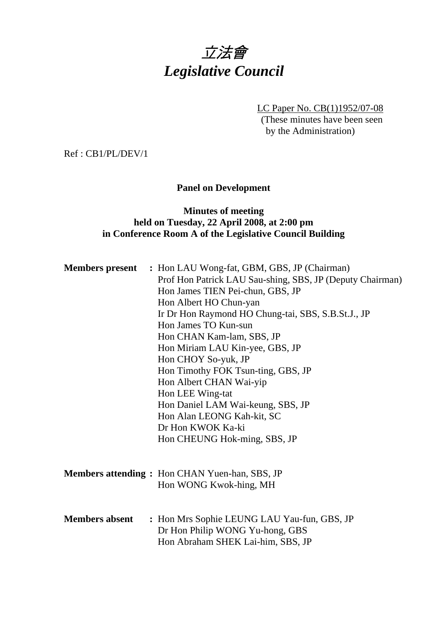# 立法會 *Legislative Council*

LC Paper No. CB(1)1952/07-08

(These minutes have been seen by the Administration)

Ref : CB1/PL/DEV/1

# **Panel on Development**

# **Minutes of meeting held on Tuesday, 22 April 2008, at 2:00 pm in Conference Room A of the Legislative Council Building**

|                       | <b>Members present</b> : Hon LAU Wong-fat, GBM, GBS, JP (Chairman)<br>Prof Hon Patrick LAU Sau-shing, SBS, JP (Deputy Chairman)<br>Hon James TIEN Pei-chun, GBS, JP<br>Hon Albert HO Chun-yan<br>Ir Dr Hon Raymond HO Chung-tai, SBS, S.B.St.J., JP<br>Hon James TO Kun-sun<br>Hon CHAN Kam-lam, SBS, JP<br>Hon Miriam LAU Kin-yee, GBS, JP<br>Hon CHOY So-yuk, JP<br>Hon Timothy FOK Tsun-ting, GBS, JP<br>Hon Albert CHAN Wai-yip<br>Hon LEE Wing-tat<br>Hon Daniel LAM Wai-keung, SBS, JP<br>Hon Alan LEONG Kah-kit, SC<br>Dr Hon KWOK Ka-ki<br>Hon CHEUNG Hok-ming, SBS, JP |
|-----------------------|---------------------------------------------------------------------------------------------------------------------------------------------------------------------------------------------------------------------------------------------------------------------------------------------------------------------------------------------------------------------------------------------------------------------------------------------------------------------------------------------------------------------------------------------------------------------------------|
|                       | <b>Members attending:</b> Hon CHAN Yuen-han, SBS, JP<br>Hon WONG Kwok-hing, MH                                                                                                                                                                                                                                                                                                                                                                                                                                                                                                  |
| <b>Members absent</b> | : Hon Mrs Sophie LEUNG LAU Yau-fun, GBS, JP<br>Dr Hon Philip WONG Yu-hong, GBS<br>Hon Abraham SHEK Lai-him, SBS, JP                                                                                                                                                                                                                                                                                                                                                                                                                                                             |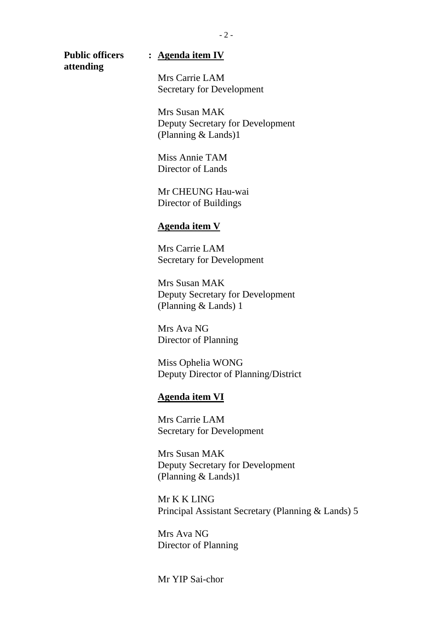**attending** 

### **Public officers : Agenda item IV**

Mrs Carrie LAM Secretary for Development

Mrs Susan MAK Deputy Secretary for Development (Planning & Lands)1

Miss Annie TAM Director of Lands

Mr CHEUNG Hau-wai Director of Buildings

#### **Agenda item V**

Mrs Carrie LAM Secretary for Development

Mrs Susan MAK Deputy Secretary for Development (Planning & Lands) 1

Mrs Ava NG Director of Planning

Miss Ophelia WONG Deputy Director of Planning/District

#### **Agenda item VI**

Mrs Carrie LAM Secretary for Development

Mrs Susan MAK Deputy Secretary for Development (Planning & Lands)1

Mr K K LING Principal Assistant Secretary (Planning & Lands) 5

Mrs Ava NG Director of Planning

Mr YIP Sai-chor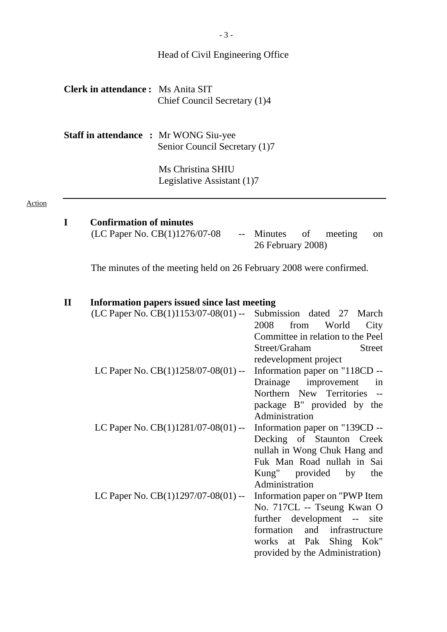# Head of Civil Engineering Office

| <b>Clerk in attendance:</b> Ms Anita SIT |                              |
|------------------------------------------|------------------------------|
|                                          | Chief Council Secretary (1)4 |

**Staff in attendance :** Mr WONG Siu-yee Senior Council Secretary (1)7

> Ms Christina SHIU Legislative Assistant (1)7

#### Action

# **I Confirmation of minutes**

| (LC Paper No. CB(1)1276/07-08 |                   | -- Minutes of meeting on |  |
|-------------------------------|-------------------|--------------------------|--|
|                               | 26 February 2008) |                          |  |

The minutes of the meeting held on 26 February 2008 were confirmed.

| $\mathbf H$ |  | Information papers issued since last meeting |  |
|-------------|--|----------------------------------------------|--|
|             |  | $\sum_{i=1}^{n}$                             |  |

| пиогнанон рарсгэ вэшси энісс там нісстінд<br>(LC Paper No. CB(1)1153/07-08(01) -- | Submission dated 27 March         |
|-----------------------------------------------------------------------------------|-----------------------------------|
|                                                                                   | 2008<br>from<br>World<br>City     |
|                                                                                   | Committee in relation to the Peel |
|                                                                                   | Street/Graham<br><b>Street</b>    |
|                                                                                   | redevelopment project             |
| LC Paper No. $CB(1)1258/07-08(01)$ --                                             | Information paper on "118CD --    |
|                                                                                   | Drainage improvement<br>in        |
|                                                                                   | Northern New Territories --       |
|                                                                                   | package B" provided by the        |
|                                                                                   | Administration                    |
| LC Paper No. CB(1)1281/07-08(01) --                                               | Information paper on "139CD --    |
|                                                                                   | Decking of Staunton Creek         |
|                                                                                   | nullah in Wong Chuk Hang and      |
|                                                                                   | Fuk Man Road nullah in Sai        |
|                                                                                   | Kung" provided by<br>the          |
|                                                                                   | Administration                    |
| LC Paper No. $CB(1)1297/07-08(01)$ --                                             | Information paper on "PWP Item"   |
|                                                                                   | No. 717CL -- Tseung Kwan O        |
|                                                                                   | further development -- site       |
|                                                                                   | formation<br>and infrastructure   |
|                                                                                   | works at Pak Shing Kok"           |
|                                                                                   | provided by the Administration)   |
|                                                                                   |                                   |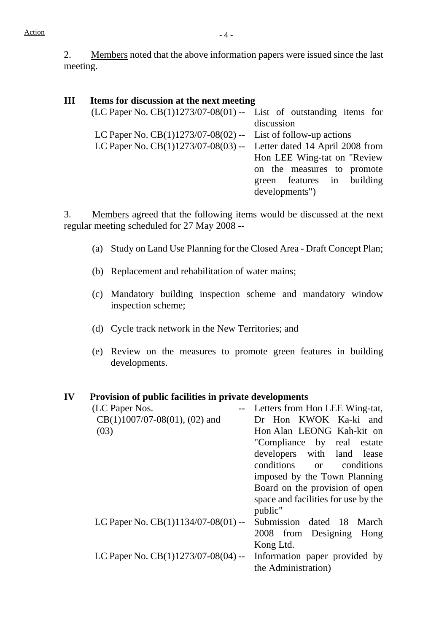2. Members noted that the above information papers were issued since the last meeting.

# **III Items for discussion at the next meeting**

| $(LC$ Paper No. $CB(1)1273/07-08(01)$ -- List of outstanding items for |                             |
|------------------------------------------------------------------------|-----------------------------|
|                                                                        | discussion                  |
| LC Paper No. $CB(1)1273/07-08(02)$ -- List of follow-up actions        |                             |
| LC Paper No. CB(1)1273/07-08(03) -- Letter dated 14 April 2008 from    |                             |
|                                                                        | Hon LEE Wing-tat on "Review |
|                                                                        | on the measures to promote  |
|                                                                        | green features in building  |
|                                                                        | developments")              |
|                                                                        |                             |

3. Members agreed that the following items would be discussed at the next regular meeting scheduled for 27 May 2008 --

- (a) Study on Land Use Planning for the Closed Area Draft Concept Plan;
- (b) Replacement and rehabilitation of water mains;
- (c) Mandatory building inspection scheme and mandatory window inspection scheme;
- (d) Cycle track network in the New Territories; and
- (e) Review on the measures to promote green features in building developments.

#### **IV Provision of public facilities in private developments**

| (LC Paper Nos.                        | Letters from Hon LEE Wing-tat,      |
|---------------------------------------|-------------------------------------|
| $CB(1)1007/07-08(01)$ , (02) and      | Dr Hon KWOK Ka-ki and               |
| (03)                                  | Hon Alan LEONG Kah-kit on           |
|                                       | "Compliance by real estate          |
|                                       | developers with land lease          |
|                                       | conditions<br>or conditions         |
|                                       | imposed by the Town Planning        |
|                                       | Board on the provision of open      |
|                                       | space and facilities for use by the |
|                                       | public"                             |
| LC Paper No. $CB(1)1134/07-08(01)$ -- | Submission dated 18 March           |
|                                       | 2008 from Designing<br>Hong         |
|                                       | Kong Ltd.                           |
| LC Paper No. $CB(1)1273/07-08(04)$ -- | Information paper provided by       |
|                                       | the Administration)                 |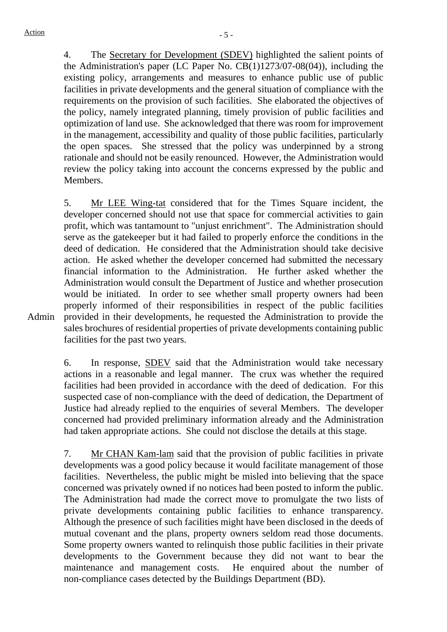4. The Secretary for Development (SDEV) highlighted the salient points of the Administration's paper (LC Paper No. CB(1)1273/07-08(04)), including the existing policy, arrangements and measures to enhance public use of public facilities in private developments and the general situation of compliance with the requirements on the provision of such facilities. She elaborated the objectives of the policy, namely integrated planning, timely provision of public facilities and optimization of land use. She acknowledged that there was room for improvement in the management, accessibility and quality of those public facilities, particularly the open spaces. She stressed that the policy was underpinned by a strong rationale and should not be easily renounced. However, the Administration would review the policy taking into account the concerns expressed by the public and Members.

5. Mr LEE Wing-tat considered that for the Times Square incident, the developer concerned should not use that space for commercial activities to gain profit, which was tantamount to "unjust enrichment". The Administration should serve as the gatekeeper but it had failed to properly enforce the conditions in the deed of dedication. He considered that the Administration should take decisive action. He asked whether the developer concerned had submitted the necessary financial information to the Administration. He further asked whether the Administration would consult the Department of Justice and whether prosecution would be initiated. In order to see whether small property owners had been properly informed of their responsibilities in respect of the public facilities provided in their developments, he requested the Administration to provide the sales brochures of residential properties of private developments containing public facilities for the past two years.

Admin

6. In response, SDEV said that the Administration would take necessary actions in a reasonable and legal manner. The crux was whether the required facilities had been provided in accordance with the deed of dedication. For this suspected case of non-compliance with the deed of dedication, the Department of Justice had already replied to the enquiries of several Members. The developer concerned had provided preliminary information already and the Administration had taken appropriate actions. She could not disclose the details at this stage.

7. Mr CHAN Kam-lam said that the provision of public facilities in private developments was a good policy because it would facilitate management of those facilities. Nevertheless, the public might be misled into believing that the space concerned was privately owned if no notices had been posted to inform the public. The Administration had made the correct move to promulgate the two lists of private developments containing public facilities to enhance transparency. Although the presence of such facilities might have been disclosed in the deeds of mutual covenant and the plans, property owners seldom read those documents. Some property owners wanted to relinquish those public facilities in their private developments to the Government because they did not want to bear the maintenance and management costs. He enquired about the number of non-compliance cases detected by the Buildings Department (BD).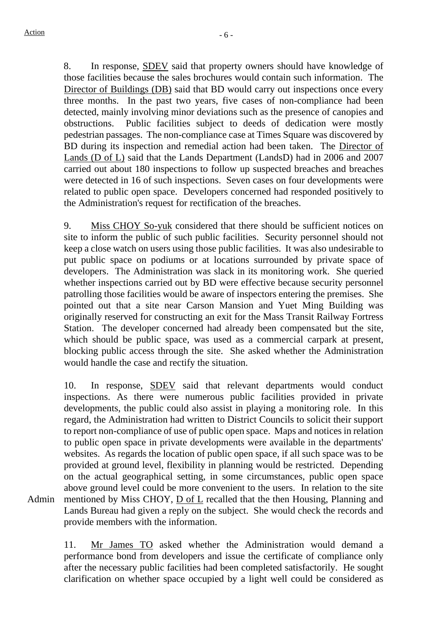8. In response, SDEV said that property owners should have knowledge of those facilities because the sales brochures would contain such information. The Director of Buildings (DB) said that BD would carry out inspections once every three months. In the past two years, five cases of non-compliance had been detected, mainly involving minor deviations such as the presence of canopies and obstructions. Public facilities subject to deeds of dedication were mostly pedestrian passages. The non-compliance case at Times Square was discovered by BD during its inspection and remedial action had been taken. The Director of Lands (D of L) said that the Lands Department (LandsD) had in 2006 and 2007 carried out about 180 inspections to follow up suspected breaches and breaches were detected in 16 of such inspections. Seven cases on four developments were related to public open space. Developers concerned had responded positively to the Administration's request for rectification of the breaches.

9. Miss CHOY So-yuk considered that there should be sufficient notices on site to inform the public of such public facilities. Security personnel should not keep a close watch on users using those public facilities. It was also undesirable to put public space on podiums or at locations surrounded by private space of developers. The Administration was slack in its monitoring work. She queried whether inspections carried out by BD were effective because security personnel patrolling those facilities would be aware of inspectors entering the premises. She pointed out that a site near Carson Mansion and Yuet Ming Building was originally reserved for constructing an exit for the Mass Transit Railway Fortress Station. The developer concerned had already been compensated but the site, which should be public space, was used as a commercial carpark at present, blocking public access through the site. She asked whether the Administration would handle the case and rectify the situation.

Admin 10. In response, SDEV said that relevant departments would conduct inspections. As there were numerous public facilities provided in private developments, the public could also assist in playing a monitoring role. In this regard, the Administration had written to District Councils to solicit their support to report non-compliance of use of public open space. Maps and notices in relation to public open space in private developments were available in the departments' websites. As regards the location of public open space, if all such space was to be provided at ground level, flexibility in planning would be restricted. Depending on the actual geographical setting, in some circumstances, public open space above ground level could be more convenient to the users. In relation to the site mentioned by Miss CHOY, D of L recalled that the then Housing, Planning and Lands Bureau had given a reply on the subject. She would check the records and provide members with the information.

> 11. Mr James TO asked whether the Administration would demand a performance bond from developers and issue the certificate of compliance only after the necessary public facilities had been completed satisfactorily. He sought clarification on whether space occupied by a light well could be considered as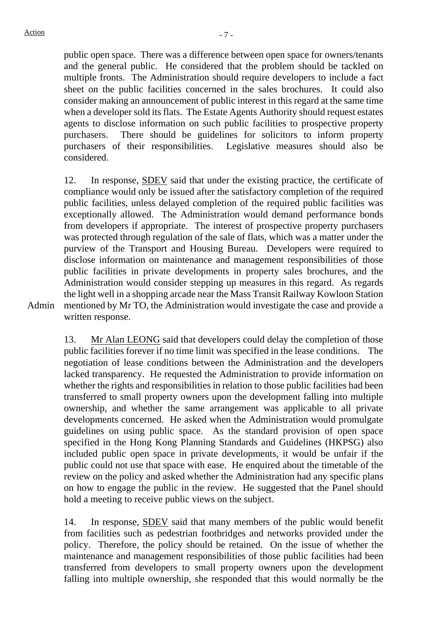public open space. There was a difference between open space for owners/tenants and the general public. He considered that the problem should be tackled on multiple fronts. The Administration should require developers to include a fact sheet on the public facilities concerned in the sales brochures. It could also consider making an announcement of public interest in this regard at the same time when a developer sold its flats. The Estate Agents Authority should request estates agents to disclose information on such public facilities to prospective property purchasers. There should be guidelines for solicitors to inform property purchasers of their responsibilities. Legislative measures should also be considered.

12. In response, SDEV said that under the existing practice, the certificate of compliance would only be issued after the satisfactory completion of the required public facilities, unless delayed completion of the required public facilities was exceptionally allowed. The Administration would demand performance bonds from developers if appropriate. The interest of prospective property purchasers was protected through regulation of the sale of flats, which was a matter under the purview of the Transport and Housing Bureau. Developers were required to disclose information on maintenance and management responsibilities of those public facilities in private developments in property sales brochures, and the Administration would consider stepping up measures in this regard. As regards the light well in a shopping arcade near the Mass Transit Railway Kowloon Station mentioned by Mr TO, the Administration would investigate the case and provide a written response.

Admin

13. Mr Alan LEONG said that developers could delay the completion of those public facilities forever if no time limit was specified in the lease conditions. The negotiation of lease conditions between the Administration and the developers lacked transparency. He requested the Administration to provide information on whether the rights and responsibilities in relation to those public facilities had been transferred to small property owners upon the development falling into multiple ownership, and whether the same arrangement was applicable to all private developments concerned. He asked when the Administration would promulgate guidelines on using public space. As the standard provision of open space specified in the Hong Kong Planning Standards and Guidelines (HKPSG) also included public open space in private developments, it would be unfair if the public could not use that space with ease. He enquired about the timetable of the review on the policy and asked whether the Administration had any specific plans on how to engage the public in the review. He suggested that the Panel should hold a meeting to receive public views on the subject.

14. In response, SDEV said that many members of the public would benefit from facilities such as pedestrian footbridges and networks provided under the policy. Therefore, the policy should be retained. On the issue of whether the maintenance and management responsibilities of those public facilities had been transferred from developers to small property owners upon the development falling into multiple ownership, she responded that this would normally be the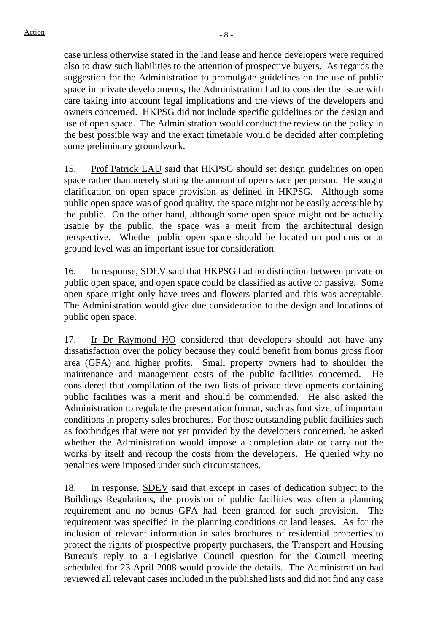case unless otherwise stated in the land lease and hence developers were required also to draw such liabilities to the attention of prospective buyers. As regards the suggestion for the Administration to promulgate guidelines on the use of public space in private developments, the Administration had to consider the issue with care taking into account legal implications and the views of the developers and owners concerned. HKPSG did not include specific guidelines on the design and use of open space. The Administration would conduct the review on the policy in the best possible way and the exact timetable would be decided after completing some preliminary groundwork.

15. Prof Patrick LAU said that HKPSG should set design guidelines on open space rather than merely stating the amount of open space per person. He sought clarification on open space provision as defined in HKPSG. Although some public open space was of good quality, the space might not be easily accessible by the public. On the other hand, although some open space might not be actually usable by the public, the space was a merit from the architectural design perspective. Whether public open space should be located on podiums or at ground level was an important issue for consideration.

16. In response, SDEV said that HKPSG had no distinction between private or public open space, and open space could be classified as active or passive. Some open space might only have trees and flowers planted and this was acceptable. The Administration would give due consideration to the design and locations of public open space.

17. Ir Dr Raymond HO considered that developers should not have any dissatisfaction over the policy because they could benefit from bonus gross floor area (GFA) and higher profits. Small property owners had to shoulder the maintenance and management costs of the public facilities concerned. He considered that compilation of the two lists of private developments containing public facilities was a merit and should be commended. He also asked the Administration to regulate the presentation format, such as font size, of important conditions in property sales brochures. For those outstanding public facilities such as footbridges that were not yet provided by the developers concerned, he asked whether the Administration would impose a completion date or carry out the works by itself and recoup the costs from the developers. He queried why no penalties were imposed under such circumstances.

18. In response, SDEV said that except in cases of dedication subject to the Buildings Regulations, the provision of public facilities was often a planning requirement and no bonus GFA had been granted for such provision. The requirement was specified in the planning conditions or land leases. As for the inclusion of relevant information in sales brochures of residential properties to protect the rights of prospective property purchasers, the Transport and Housing Bureau's reply to a Legislative Council question for the Council meeting scheduled for 23 April 2008 would provide the details. The Administration had reviewed all relevant cases included in the published lists and did not find any case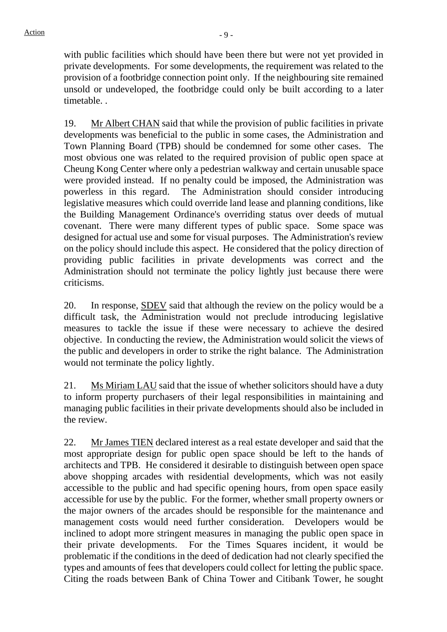with public facilities which should have been there but were not yet provided in private developments. For some developments, the requirement was related to the provision of a footbridge connection point only. If the neighbouring site remained unsold or undeveloped, the footbridge could only be built according to a later timetable. .

19. Mr Albert CHAN said that while the provision of public facilities in private developments was beneficial to the public in some cases, the Administration and Town Planning Board (TPB) should be condemned for some other cases. The most obvious one was related to the required provision of public open space at Cheung Kong Center where only a pedestrian walkway and certain unusable space were provided instead. If no penalty could be imposed, the Administration was powerless in this regard. The Administration should consider introducing legislative measures which could override land lease and planning conditions, like the Building Management Ordinance's overriding status over deeds of mutual covenant. There were many different types of public space. Some space was designed for actual use and some for visual purposes. The Administration's review on the policy should include this aspect. He considered that the policy direction of providing public facilities in private developments was correct and the Administration should not terminate the policy lightly just because there were criticisms.

20. In response, **SDEV** said that although the review on the policy would be a difficult task, the Administration would not preclude introducing legislative measures to tackle the issue if these were necessary to achieve the desired objective. In conducting the review, the Administration would solicit the views of the public and developers in order to strike the right balance. The Administration would not terminate the policy lightly.

21. Ms Miriam LAU said that the issue of whether solicitors should have a duty to inform property purchasers of their legal responsibilities in maintaining and managing public facilities in their private developments should also be included in the review.

22. Mr James TIEN declared interest as a real estate developer and said that the most appropriate design for public open space should be left to the hands of architects and TPB. He considered it desirable to distinguish between open space above shopping arcades with residential developments, which was not easily accessible to the public and had specific opening hours, from open space easily accessible for use by the public. For the former, whether small property owners or the major owners of the arcades should be responsible for the maintenance and management costs would need further consideration. Developers would be inclined to adopt more stringent measures in managing the public open space in their private developments. For the Times Squares incident, it would be problematic if the conditions in the deed of dedication had not clearly specified the types and amounts of fees that developers could collect for letting the public space. Citing the roads between Bank of China Tower and Citibank Tower, he sought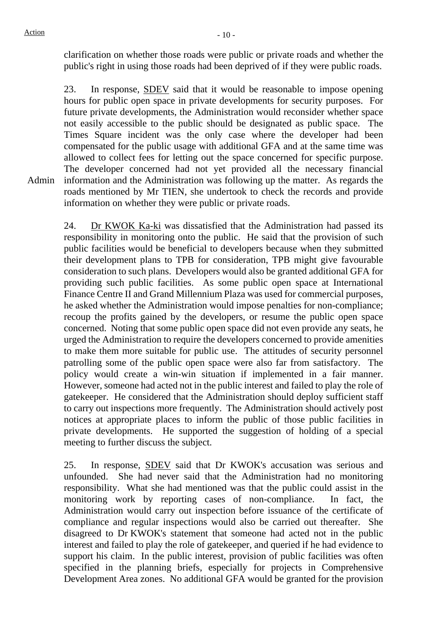clarification on whether those roads were public or private roads and whether the public's right in using those roads had been deprived of if they were public roads.

Admin 23. In response, SDEV said that it would be reasonable to impose opening hours for public open space in private developments for security purposes. For future private developments, the Administration would reconsider whether space not easily accessible to the public should be designated as public space. The Times Square incident was the only case where the developer had been compensated for the public usage with additional GFA and at the same time was allowed to collect fees for letting out the space concerned for specific purpose. The developer concerned had not yet provided all the necessary financial information and the Administration was following up the matter. As regards the roads mentioned by Mr TIEN, she undertook to check the records and provide information on whether they were public or private roads.

24. Dr KWOK Ka-ki was dissatisfied that the Administration had passed its responsibility in monitoring onto the public. He said that the provision of such public facilities would be beneficial to developers because when they submitted their development plans to TPB for consideration, TPB might give favourable consideration to such plans. Developers would also be granted additional GFA for providing such public facilities. As some public open space at International Finance Centre II and Grand Millennium Plaza was used for commercial purposes, he asked whether the Administration would impose penalties for non-compliance; recoup the profits gained by the developers, or resume the public open space concerned. Noting that some public open space did not even provide any seats, he urged the Administration to require the developers concerned to provide amenities to make them more suitable for public use. The attitudes of security personnel patrolling some of the public open space were also far from satisfactory. The policy would create a win-win situation if implemented in a fair manner. However, someone had acted not in the public interest and failed to play the role of gatekeeper. He considered that the Administration should deploy sufficient staff to carry out inspections more frequently. The Administration should actively post notices at appropriate places to inform the public of those public facilities in private developments. He supported the suggestion of holding of a special meeting to further discuss the subject.

25. In response, SDEV said that Dr KWOK's accusation was serious and unfounded. She had never said that the Administration had no monitoring responsibility. What she had mentioned was that the public could assist in the monitoring work by reporting cases of non-compliance. In fact, the Administration would carry out inspection before issuance of the certificate of compliance and regular inspections would also be carried out thereafter. She disagreed to Dr KWOK's statement that someone had acted not in the public interest and failed to play the role of gatekeeper, and queried if he had evidence to support his claim. In the public interest, provision of public facilities was often specified in the planning briefs, especially for projects in Comprehensive Development Area zones. No additional GFA would be granted for the provision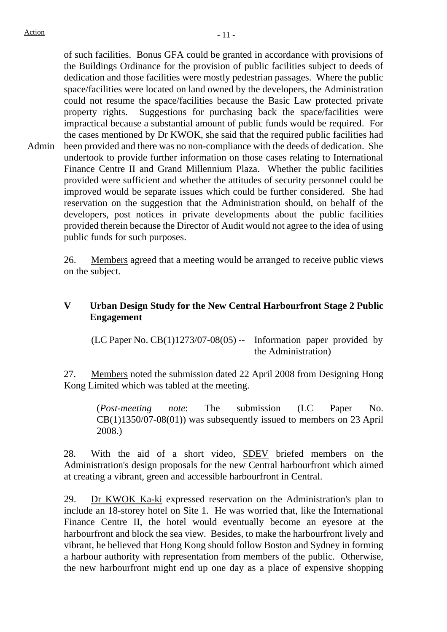Admin of such facilities. Bonus GFA could be granted in accordance with provisions of the Buildings Ordinance for the provision of public facilities subject to deeds of dedication and those facilities were mostly pedestrian passages. Where the public space/facilities were located on land owned by the developers, the Administration could not resume the space/facilities because the Basic Law protected private property rights. Suggestions for purchasing back the space/facilities were impractical because a substantial amount of public funds would be required. For the cases mentioned by Dr KWOK, she said that the required public facilities had been provided and there was no non-compliance with the deeds of dedication. She undertook to provide further information on those cases relating to International Finance Centre II and Grand Millennium Plaza. Whether the public facilities provided were sufficient and whether the attitudes of security personnel could be improved would be separate issues which could be further considered. She had reservation on the suggestion that the Administration should, on behalf of the developers, post notices in private developments about the public facilities provided therein because the Director of Audit would not agree to the idea of using public funds for such purposes.

> 26. Members agreed that a meeting would be arranged to receive public views on the subject.

# **V Urban Design Study for the New Central Harbourfront Stage 2 Public Engagement**

(LC Paper No.  $CB(1)1273/07-08(05)$  -- Information paper provided by the Administration)

27. Members noted the submission dated 22 April 2008 from Designing Hong Kong Limited which was tabled at the meeting.

(*Post-meeting note*: The submission (LC Paper No.  $CB(1)1350/07-08(01)$  was subsequently issued to members on 23 April 2008.)

28. With the aid of a short video, **SDEV** briefed members on the Administration's design proposals for the new Central harbourfront which aimed at creating a vibrant, green and accessible harbourfront in Central.

29. Dr KWOK Ka-ki expressed reservation on the Administration's plan to include an 18-storey hotel on Site 1. He was worried that, like the International Finance Centre II, the hotel would eventually become an eyesore at the harbourfront and block the sea view. Besides, to make the harbourfront lively and vibrant, he believed that Hong Kong should follow Boston and Sydney in forming a harbour authority with representation from members of the public. Otherwise, the new harbourfront might end up one day as a place of expensive shopping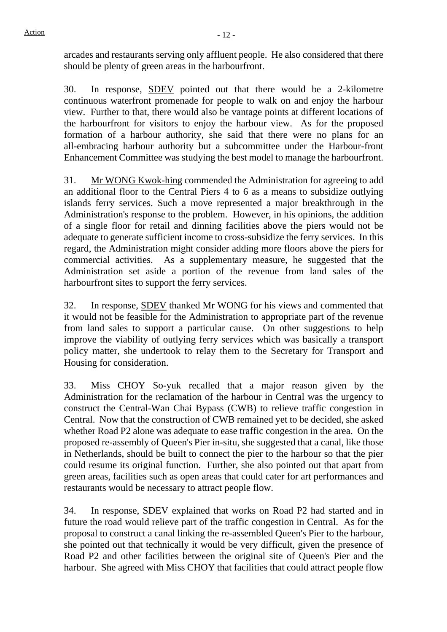arcades and restaurants serving only affluent people. He also considered that there should be plenty of green areas in the harbourfront.

30. In response, SDEV pointed out that there would be a 2-kilometre continuous waterfront promenade for people to walk on and enjoy the harbour view. Further to that, there would also be vantage points at different locations of the harbourfront for visitors to enjoy the harbour view. As for the proposed formation of a harbour authority, she said that there were no plans for an all-embracing harbour authority but a subcommittee under the Harbour-front Enhancement Committee was studying the best model to manage the harbourfront.

31. Mr WONG Kwok-hing commended the Administration for agreeing to add an additional floor to the Central Piers 4 to 6 as a means to subsidize outlying islands ferry services. Such a move represented a major breakthrough in the Administration's response to the problem. However, in his opinions, the addition of a single floor for retail and dinning facilities above the piers would not be adequate to generate sufficient income to cross-subsidize the ferry services. In this regard, the Administration might consider adding more floors above the piers for commercial activities. As a supplementary measure, he suggested that the Administration set aside a portion of the revenue from land sales of the harbourfront sites to support the ferry services.

32. In response, SDEV thanked Mr WONG for his views and commented that it would not be feasible for the Administration to appropriate part of the revenue from land sales to support a particular cause. On other suggestions to help improve the viability of outlying ferry services which was basically a transport policy matter, she undertook to relay them to the Secretary for Transport and Housing for consideration.

33. Miss CHOY So-yuk recalled that a major reason given by the Administration for the reclamation of the harbour in Central was the urgency to construct the Central-Wan Chai Bypass (CWB) to relieve traffic congestion in Central. Now that the construction of CWB remained yet to be decided, she asked whether Road P2 alone was adequate to ease traffic congestion in the area. On the proposed re-assembly of Queen's Pier in-situ, she suggested that a canal, like those in Netherlands, should be built to connect the pier to the harbour so that the pier could resume its original function. Further, she also pointed out that apart from green areas, facilities such as open areas that could cater for art performances and restaurants would be necessary to attract people flow.

34. In response, SDEV explained that works on Road P2 had started and in future the road would relieve part of the traffic congestion in Central. As for the proposal to construct a canal linking the re-assembled Queen's Pier to the harbour, she pointed out that technically it would be very difficult, given the presence of Road P2 and other facilities between the original site of Queen's Pier and the harbour. She agreed with Miss CHOY that facilities that could attract people flow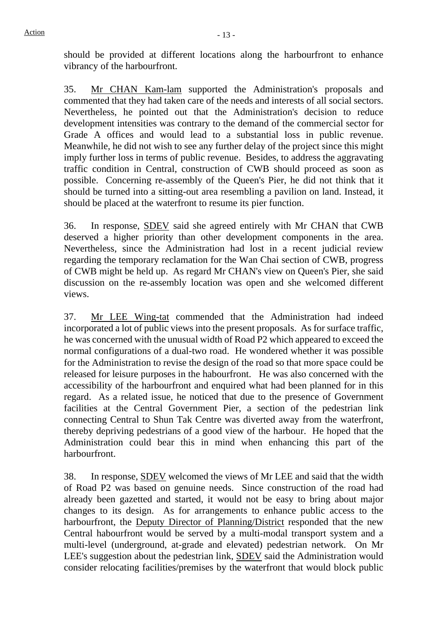should be provided at different locations along the harbourfront to enhance vibrancy of the harbourfront.

35. Mr CHAN Kam-lam supported the Administration's proposals and commented that they had taken care of the needs and interests of all social sectors. Nevertheless, he pointed out that the Administration's decision to reduce development intensities was contrary to the demand of the commercial sector for Grade A offices and would lead to a substantial loss in public revenue. Meanwhile, he did not wish to see any further delay of the project since this might imply further loss in terms of public revenue. Besides, to address the aggravating traffic condition in Central, construction of CWB should proceed as soon as possible. Concerning re-assembly of the Queen's Pier, he did not think that it should be turned into a sitting-out area resembling a pavilion on land. Instead, it should be placed at the waterfront to resume its pier function.

36. In response, SDEV said she agreed entirely with Mr CHAN that CWB deserved a higher priority than other development components in the area. Nevertheless, since the Administration had lost in a recent judicial review regarding the temporary reclamation for the Wan Chai section of CWB, progress of CWB might be held up. As regard Mr CHAN's view on Queen's Pier, she said discussion on the re-assembly location was open and she welcomed different views.

37. Mr LEE Wing-tat commended that the Administration had indeed incorporated a lot of public views into the present proposals. As for surface traffic, he was concerned with the unusual width of Road P2 which appeared to exceed the normal configurations of a dual-two road. He wondered whether it was possible for the Administration to revise the design of the road so that more space could be released for leisure purposes in the habourfront. He was also concerned with the accessibility of the harbourfront and enquired what had been planned for in this regard. As a related issue, he noticed that due to the presence of Government facilities at the Central Government Pier, a section of the pedestrian link connecting Central to Shun Tak Centre was diverted away from the waterfront, thereby depriving pedestrians of a good view of the harbour. He hoped that the Administration could bear this in mind when enhancing this part of the harbourfront.

38. In response, SDEV welcomed the views of Mr LEE and said that the width of Road P2 was based on genuine needs. Since construction of the road had already been gazetted and started, it would not be easy to bring about major changes to its design. As for arrangements to enhance public access to the harbourfront, the Deputy Director of Planning/District responded that the new Central habourfront would be served by a multi-modal transport system and a multi-level (underground, at-grade and elevated) pedestrian network. On Mr LEE's suggestion about the pedestrian link, SDEV said the Administration would consider relocating facilities/premises by the waterfront that would block public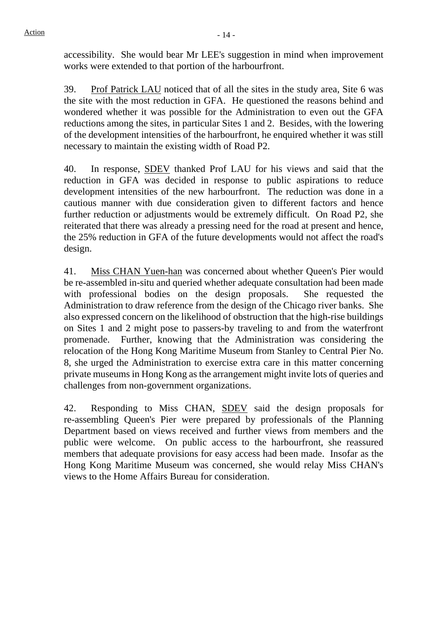accessibility. She would bear Mr LEE's suggestion in mind when improvement works were extended to that portion of the harbourfront.

39. Prof Patrick LAU noticed that of all the sites in the study area, Site 6 was the site with the most reduction in GFA. He questioned the reasons behind and wondered whether it was possible for the Administration to even out the GFA reductions among the sites, in particular Sites 1 and 2. Besides, with the lowering of the development intensities of the harbourfront, he enquired whether it was still necessary to maintain the existing width of Road P2.

40. In response, SDEV thanked Prof LAU for his views and said that the reduction in GFA was decided in response to public aspirations to reduce development intensities of the new harbourfront. The reduction was done in a cautious manner with due consideration given to different factors and hence further reduction or adjustments would be extremely difficult. On Road P2, she reiterated that there was already a pressing need for the road at present and hence, the 25% reduction in GFA of the future developments would not affect the road's design.

41. Miss CHAN Yuen-han was concerned about whether Queen's Pier would be re-assembled in-situ and queried whether adequate consultation had been made with professional bodies on the design proposals. She requested the Administration to draw reference from the design of the Chicago river banks. She also expressed concern on the likelihood of obstruction that the high-rise buildings on Sites 1 and 2 might pose to passers-by traveling to and from the waterfront promenade. Further, knowing that the Administration was considering the relocation of the Hong Kong Maritime Museum from Stanley to Central Pier No. 8, she urged the Administration to exercise extra care in this matter concerning private museums in Hong Kong as the arrangement might invite lots of queries and challenges from non-government organizations.

42. Responding to Miss CHAN, SDEV said the design proposals for re-assembling Queen's Pier were prepared by professionals of the Planning Department based on views received and further views from members and the public were welcome. On public access to the harbourfront, she reassured members that adequate provisions for easy access had been made. Insofar as the Hong Kong Maritime Museum was concerned, she would relay Miss CHAN's views to the Home Affairs Bureau for consideration.